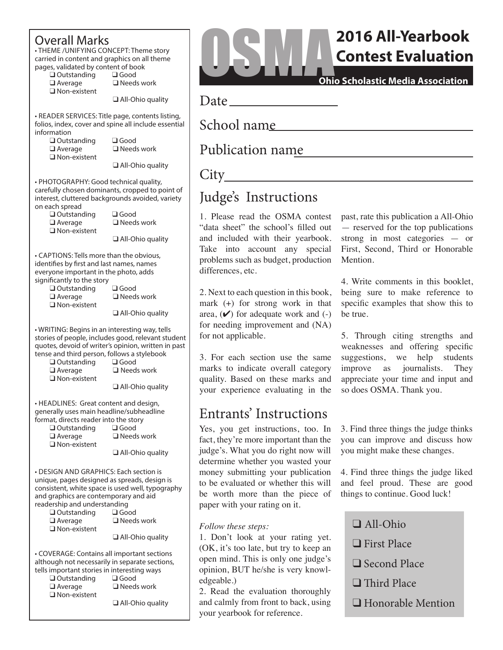## Overall Marks

• THEME /UNIFYING CONCEPT: Theme story carried in content and graphics on all theme pages, validated by content of book<br>  $\Box$  Outstanding  $\Box$  Good

 $\square$  Outstanding<br> $\square$  Average

 $\Box$  Non-existent

 $\Box$  Needs work

 $\Box$  All-Ohio quality

• READER SERVICES: Title page, contents listing, folios, index, cover and spine all include essential information

 $\square$  Outstanding  $\square$  Good  $\square$  Average  $\square$  Need:  $\Box$  Non-existent

 $\square$  Needs work

 $\Box$  All-Ohio quality

• PHOTOGRAPHY: Good technical quality, carefully chosen dominants, cropped to point of interest, cluttered backgrounds avoided, variety on each spread

> $\Box$  Outstanding  $\Box$  Average  $\square$  Non-existent

| 000ء) ک              |  |
|----------------------|--|
| $\Box$ Needs work    |  |
| $\Box$ All Objection |  |

 $\sqcup$  All-Ohio quality

• CAPTIONS: Tells more than the obvious, identifies by first and last names, names everyone important in the photo, adds significantly to the story

 $\square$  Outstanding  $\square$  Good  $\square$  Average  $\square$  Need:  $\Box$  Non-existent

 $\Box$  Needs work

 $\Box$  All-Ohio quality

• WRITING: Begins in an interesting way, tells stories of people, includes good, relevant student quotes, devoid of writer's opinion, written in past tense and third person, follows a stylebook

|                     | ic and trind person, ionows a stylebe |
|---------------------|---------------------------------------|
| $\Box$ Outstanding  | $\Box$ Good                           |
| $\Box$ Average      | $\Box$ Needs work                     |
| $\Box$ Non-existent |                                       |
|                     |                                       |

q All-Ohio quality

• HEADLINES: Great content and design, generally uses main headline/subheadline format, directs reader into the story<br>  $\Box$  Qutstanding

 $\Box$  Outstanding  $\Box$  Average  $\Box$  Needs work  $\Box$  Non-existent

 $\Box$  All-Ohio quality

• DESIGN AND GRAPHICS: Each section is unique, pages designed as spreads, design is consistent, white space is used well, typography and graphics are contemporary and aid readership and understanding

| cronip and and crotanality |                   |
|----------------------------|-------------------|
| $\square$ Outstanding      | $\Box$ Good       |
| $\square$ Average          | $\Box$ Needs work |
| $\square$ Non-existent     |                   |

All-Ohio quality

• COVERAGE: Contains all important sections although not necessarily in separate sections, tells important stories in interesting ways

| $\square$ Outstanding  | $\square$ Good    |
|------------------------|-------------------|
| $\square$ Average      | $\Box$ Needs work |
| $\square$ Non-existent |                   |

q All-Ohio quality

# **2016 All-Yearbook** OSMA**Contest Evaluation**

**Ohio Scholastic Media Association**

Date

School name

## Publication name

## City

## Judge's Instructions

1. Please read the OSMA contest "data sheet" the school's filled out and included with their yearbook. Take into account any special problems such as budget, production differences, etc.

2. Next to each question in this book, mark (+) for strong work in that area,  $(\vee)$  for adequate work and  $(-)$ for needing improvement and (NA) for not applicable.

3. For each section use the same marks to indicate overall category quality. Based on these marks and your experience evaluating in the

## Entrants' Instructions

Yes, you get instructions, too. In fact, they're more important than the judge's. What you do right now will determine whether you wasted your money submitting your publication to be evaluated or whether this will be worth more than the piece of paper with your rating on it.

#### *Follow these steps:*

1. Don't look at your rating yet. (OK, it's too late, but try to keep an open mind. This is only one judge's opinion, BUT he/she is very knowledgeable.)

2. Read the evaluation thoroughly and calmly from front to back, using your yearbook for reference.

past, rate this publication a All-Ohio — reserved for the top publications strong in most categories — or First, Second, Third or Honorable Mention.

4. Write comments in this booklet, being sure to make reference to specific examples that show this to be true.

5. Through citing strengths and weaknesses and offering specific suggestions, we help students improve as journalists. They appreciate your time and input and so does OSMA. Thank you.

3. Find three things the judge thinks you can improve and discuss how you might make these changes.

4. Find three things the judge liked and feel proud. These are good things to continue. Good luck!

- $\Box$  All-Ohio
- $\Box$  First Place
- $\Box$  Second Place
- $\Box$  Third Place
- $\Box$  Honorable Mention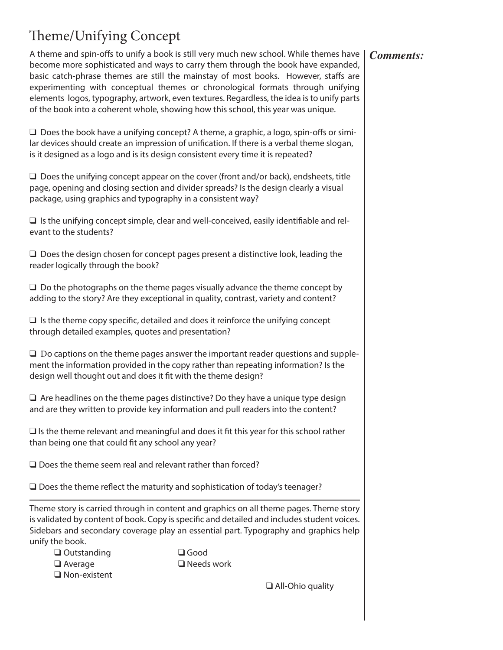# Theme/Unifying Concept

A theme and spin-offs to unify a book is still very much new school. While themes have become more sophisticated and ways to carry them through the book have expanded, basic catch-phrase themes are still the mainstay of most books. However, staffs are experimenting with conceptual themes or chronological formats through unifying elements logos, typography, artwork, even textures. Regardless, the idea is to unify parts of the book into a coherent whole, showing how this school, this year was unique.

 $\Box$  Does the book have a unifying concept? A theme, a graphic, a logo, spin-offs or similar devices should create an impression of unification. If there is a verbal theme slogan, is it designed as a logo and is its design consistent every time it is repeated?

 $\Box$  Does the unifying concept appear on the cover (front and/or back), endsheets, title page, opening and closing section and divider spreads? Is the design clearly a visual package, using graphics and typography in a consistent way?

 $\Box$  Is the unifying concept simple, clear and well-conceived, easily identifiable and relevant to the students?

 $\square$  Does the design chosen for concept pages present a distinctive look, leading the reader logically through the book?

 $\Box$  Do the photographs on the theme pages visually advance the theme concept by adding to the story? Are they exceptional in quality, contrast, variety and content?

 $\Box$  Is the theme copy specific, detailed and does it reinforce the unifying concept through detailed examples, quotes and presentation?

 $\square$  Do captions on the theme pages answer the important reader questions and supplement the information provided in the copy rather than repeating information? Is the design well thought out and does it fit with the theme design?

 $\Box$  Are headlines on the theme pages distinctive? Do they have a unique type design and are they written to provide key information and pull readers into the content?

 $\square$  Is the theme relevant and meaningful and does it fit this year for this school rather than being one that could fit any school any year?

 $\Box$  Does the theme seem real and relevant rather than forced?

 $\square$  Does the theme reflect the maturity and sophistication of today's teenager?

Theme story is carried through in content and graphics on all theme pages. Theme story is validated by content of book. Copy is specific and detailed and includes student voices. Sidebars and secondary coverage play an essential part. Typography and graphics help unify the book.

 $\Box$  Outstanding  $\Box$  Good  $\Box$  Average  $\Box$  Needs work  $\square$  Non-existent

 $\Box$  All-Ohio quality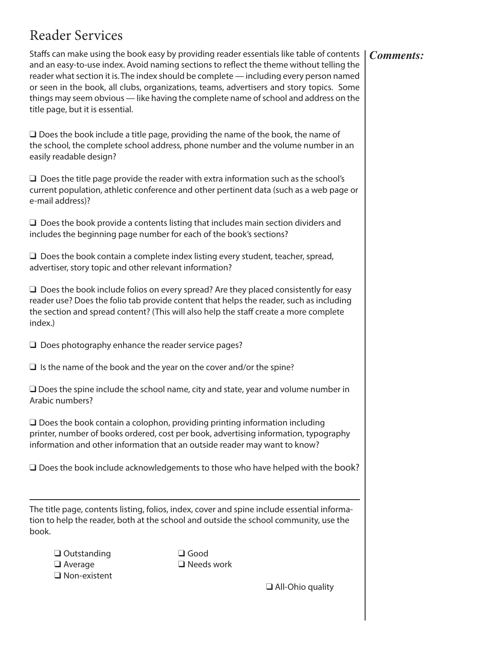# Reader Services

Staffs can make using the book easy by providing reader essentials like table of contents and an easy-to-use index. Avoid naming sections to reflect the theme without telling the reader what section it is. The index should be complete — including every person named or seen in the book, all clubs, organizations, teams, advertisers and story topics. Some things may seem obvious — like having the complete name of school and address on the title page, but it is essential.

 $\square$  Does the book include a title page, providing the name of the book, the name of the school, the complete school address, phone number and the volume number in an easily readable design?

 $\square$  Does the title page provide the reader with extra information such as the school's current population, athletic conference and other pertinent data (such as a web page or e-mail address)?

 $\Box$  Does the book provide a contents listing that includes main section dividers and includes the beginning page number for each of the book's sections?

 $\Box$  Does the book contain a complete index listing every student, teacher, spread, advertiser, story topic and other relevant information?

 $\Box$  Does the book include folios on every spread? Are they placed consistently for easy reader use? Does the folio tab provide content that helps the reader, such as including the section and spread content? (This will also help the staff create a more complete index.)

 $\Box$  Does photography enhance the reader service pages?

 $\Box$  Is the name of the book and the year on the cover and/or the spine?

 $\Box$  Does the spine include the school name, city and state, year and volume number in Arabic numbers?

 $\Box$  Does the book contain a colophon, providing printing information including printer, number of books ordered, cost per book, advertising information, typography information and other information that an outside reader may want to know?

 $\square$  Does the book include acknowledgements to those who have helped with the book?

The title page, contents listing, folios, index, cover and spine include essential information to help the reader, both at the school and outside the school community, use the book.

| $\Box$ Outstanding  |
|---------------------|
| $\Box$ Average      |
| $\Box$ Non-existent |

 $\Box$  Good  $\Box$  Needs work

 $\Box$  All-Ohio quality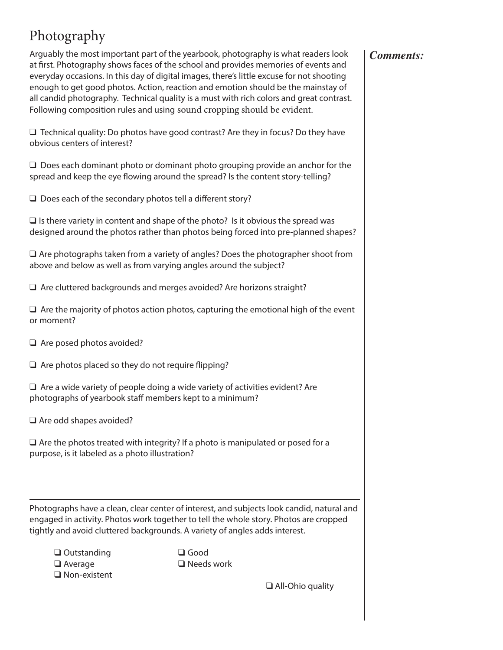# Photography

Arguably the most important part of the yearbook, photography is what readers look at first. Photography shows faces of the school and provides memories of events and everyday occasions. In this day of digital images, there's little excuse for not shooting enough to get good photos. Action, reaction and emotion should be the mainstay of all candid photography. Technical quality is a must with rich colors and great contrast. Following composition rules and using sound cropping should be evident.

 $\Box$  Technical quality: Do photos have good contrast? Are they in focus? Do they have obvious centers of interest?

 $\Box$  Does each dominant photo or dominant photo grouping provide an anchor for the spread and keep the eye flowing around the spread? Is the content story-telling?

 $\Box$  Does each of the secondary photos tell a different story?

 $\Box$  Is there variety in content and shape of the photo? Is it obvious the spread was designed around the photos rather than photos being forced into pre-planned shapes?

 $\Box$  Are photographs taken from a variety of angles? Does the photographer shoot from above and below as well as from varying angles around the subject?

 $\Box$  Are cluttered backgrounds and merges avoided? Are horizons straight?

 $\Box$  Are the majority of photos action photos, capturing the emotional high of the event or moment?

 $\Box$  Are posed photos avoided?

 $\Box$  Are photos placed so they do not require flipping?

 $\Box$  Are a wide variety of people doing a wide variety of activities evident? Are photographs of yearbook staff members kept to a minimum?

 $\Box$  Are odd shapes avoided?

 $\square$  Are the photos treated with integrity? If a photo is manipulated or posed for a purpose, is it labeled as a photo illustration?

Photographs have a clean, clear center of interest, and subjects look candid, natural and engaged in activity. Photos work together to tell the whole story. Photos are cropped tightly and avoid cluttered backgrounds. A variety of angles adds interest.

| $\Box$ Outstanding  |
|---------------------|
| $\Box$ Average      |
| $\Box$ Non-existent |

 $\Box$  Good  $\square$  Needs work

 $\Box$  All-Ohio quality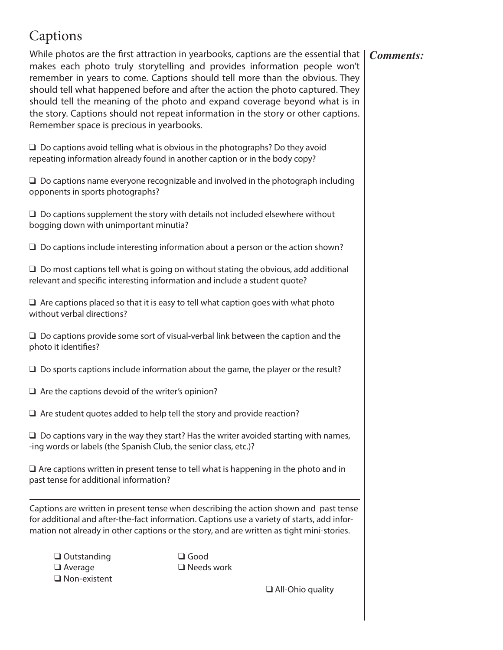## Captions

While photos are the first attraction in yearbooks, captions are the essential that | makes each photo truly storytelling and provides information people won't remember in years to come. Captions should tell more than the obvious. They should tell what happened before and after the action the photo captured. They should tell the meaning of the photo and expand coverage beyond what is in the story. Captions should not repeat information in the story or other captions. Remember space is precious in yearbooks. *Comments:*

 $\Box$  Do captions avoid telling what is obvious in the photographs? Do they avoid repeating information already found in another caption or in the body copy?

 $\Box$  Do captions name everyone recognizable and involved in the photograph including opponents in sports photographs?

 $\Box$  Do captions supplement the story with details not included elsewhere without bogging down with unimportant minutia?

 $\Box$  Do captions include interesting information about a person or the action shown?

 $\Box$  Do most captions tell what is going on without stating the obvious, add additional relevant and specific interesting information and include a student quote?

 $\Box$  Are captions placed so that it is easy to tell what caption goes with what photo without verbal directions?

 $\Box$  Do captions provide some sort of visual-verbal link between the caption and the photo it identifies?

 $\Box$  Do sports captions include information about the game, the player or the result?

 $\Box$  Are the captions devoid of the writer's opinion?

 $\Box$  Are student quotes added to help tell the story and provide reaction?

 $\Box$  Do captions vary in the way they start? Has the writer avoided starting with names, -ing words or labels (the Spanish Club, the senior class, etc.)?

 $\Box$  Are captions written in present tense to tell what is happening in the photo and in past tense for additional information?

Captions are written in present tense when describing the action shown and past tense for additional and after-the-fact information. Captions use a variety of starts, add information not already in other captions or the story, and are written as tight mini-stories.

| $\Box$ Outstanding  |
|---------------------|
| $\Box$ Average      |
| $\Box$ Non-existent |

**Q** Good  $\Box$  Needs work

 $\Box$  All-Ohio quality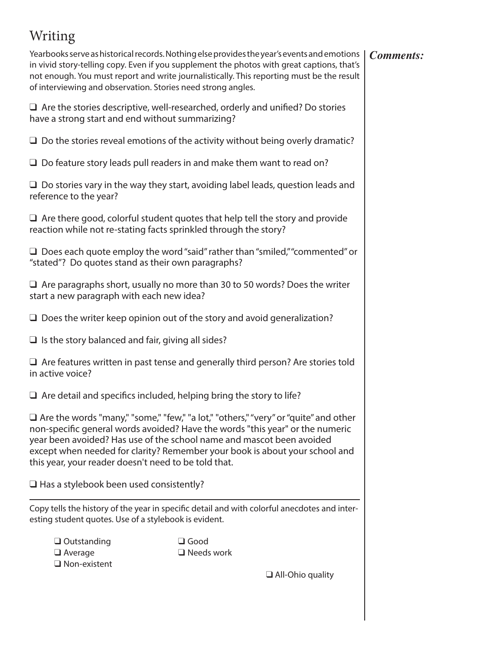# Writing

Yearbooks serve as historical records. Nothing else provides the year's events and emotions in vivid story-telling copy. Even if you supplement the photos with great captions, that's not enough. You must report and write journalistically. This reporting must be the result of interviewing and observation. Stories need strong angles.

 $\Box$  Are the stories descriptive, well-researched, orderly and unified? Do stories have a strong start and end without summarizing?

 $\Box$  Do the stories reveal emotions of the activity without being overly dramatic?

 $\Box$  Do feature story leads pull readers in and make them want to read on?

 $\Box$  Do stories vary in the way they start, avoiding label leads, question leads and reference to the year?

 $\Box$  Are there good, colorful student quotes that help tell the story and provide reaction while not re-stating facts sprinkled through the story?

 $\Box$  Does each quote employ the word "said" rather than "smiled," "commented" or "stated"? Do quotes stand as their own paragraphs?

 $\Box$  Are paragraphs short, usually no more than 30 to 50 words? Does the writer start a new paragraph with each new idea?

 $\Box$  Does the writer keep opinion out of the story and avoid generalization?

 $\Box$  Is the story balanced and fair, giving all sides?

 $\Box$  Are features written in past tense and generally third person? Are stories told in active voice?

 $\Box$  Are detail and specifics included, helping bring the story to life?

 $\Box$  Are the words "many," "some," "few," "a lot," "others," "very" or "quite" and other non-specific general words avoided? Have the words "this year" or the numeric year been avoided? Has use of the school name and mascot been avoided except when needed for clarity? Remember your book is about your school and this year, your reader doesn't need to be told that.

 $\Box$  Has a stylebook been used consistently?

Copy tells the history of the year in specific detail and with colorful anecdotes and interesting student quotes. Use of a stylebook is evident.

| $\Box$ Outstanding  |
|---------------------|
| $\Box$ Average      |
| $\Box$ Non-existent |

 $\Box$  Good  $\square$  Needs work

 $\Box$  All-Ohio quality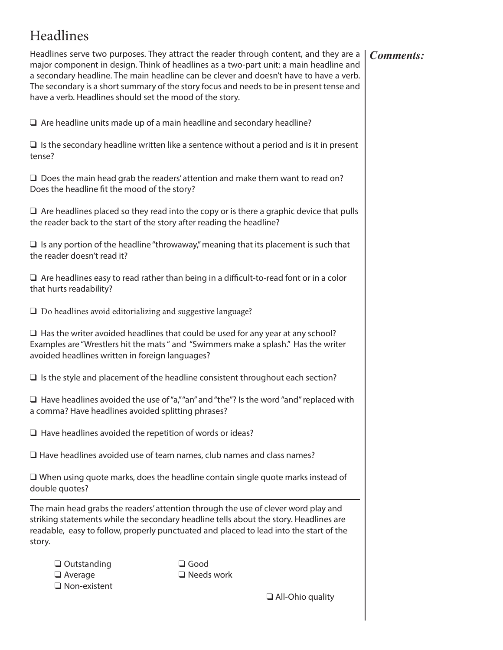# Headlines

Headlines serve two purposes. They attract the reader through content, and they are a major component in design. Think of headlines as a two-part unit: a main headline and a secondary headline. The main headline can be clever and doesn't have to have a verb. The secondary is a short summary of the story focus and needs to be in present tense and have a verb. Headlines should set the mood of the story.

 $\Box$  Are headline units made up of a main headline and secondary headline?

 $\Box$  Is the secondary headline written like a sentence without a period and is it in present tense?

 $\Box$  Does the main head grab the readers' attention and make them want to read on? Does the headline fit the mood of the story?

 $\Box$  Are headlines placed so they read into the copy or is there a graphic device that pulls the reader back to the start of the story after reading the headline?

 $\Box$  Is any portion of the headline "throwaway," meaning that its placement is such that the reader doesn't read it?

 $\Box$  Are headlines easy to read rather than being in a difficult-to-read font or in a color that hurts readability?

 $\Box$  Do headlines avoid editorializing and suggestive language?

 $\Box$  Has the writer avoided headlines that could be used for any year at any school? Examples are "Wrestlers hit the mats " and "Swimmers make a splash." Has the writer avoided headlines written in foreign languages?

 $\Box$  Is the style and placement of the headline consistent throughout each section?

 $\Box$  Have headlines avoided the use of "a," "an" and "the"? Is the word "and" replaced with a comma? Have headlines avoided splitting phrases?

 $\Box$  Have headlines avoided the repetition of words or ideas?

 $\Box$  Have headlines avoided use of team names, club names and class names?

 $\square$  When using quote marks, does the headline contain single quote marks instead of double quotes?

The main head grabs the readers' attention through the use of clever word play and striking statements while the secondary headline tells about the story. Headlines are readable, easy to follow, properly punctuated and placed to lead into the start of the story.

| $\Box$ Outstanding  |
|---------------------|
| $\Box$ Average      |
| $\Box$ Non-existent |

 $\Box$  Good  $\square$  Needs work

 $\Box$  All-Ohio quality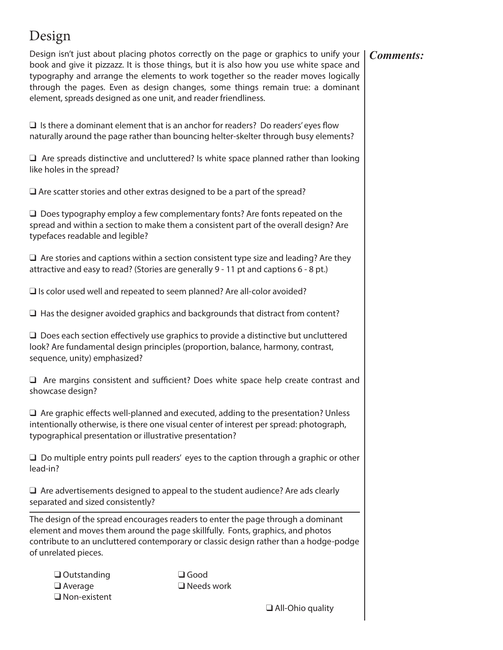# Design

Design isn't just about placing photos correctly on the page or graphics to unify your book and give it pizzazz. It is those things, but it is also how you use white space and typography and arrange the elements to work together so the reader moves logically through the pages. Even as design changes, some things remain true: a dominant element, spreads designed as one unit, and reader friendliness.

 $\square$  Is there a dominant element that is an anchor for readers? Do readers' eyes flow naturally around the page rather than bouncing helter-skelter through busy elements?

 $\Box$  Are spreads distinctive and uncluttered? Is white space planned rather than looking like holes in the spread?

 $\Box$  Are scatter stories and other extras designed to be a part of the spread?

 $\Box$  Does typography employ a few complementary fonts? Are fonts repeated on the spread and within a section to make them a consistent part of the overall design? Are typefaces readable and legible?

 $\Box$  Are stories and captions within a section consistent type size and leading? Are they attractive and easy to read? (Stories are generally 9 - 11 pt and captions 6 - 8 pt.)

 $\Box$  Is color used well and repeated to seem planned? Are all-color avoided?

 $\Box$  Has the designer avoided graphics and backgrounds that distract from content?

 $\Box$  Does each section effectively use graphics to provide a distinctive but uncluttered look? Are fundamental design principles (proportion, balance, harmony, contrast, sequence, unity) emphasized?

 $\Box$  Are margins consistent and sufficient? Does white space help create contrast and showcase design?

 $\Box$  Are graphic effects well-planned and executed, adding to the presentation? Unless intentionally otherwise, is there one visual center of interest per spread: photograph, typographical presentation or illustrative presentation?

 $\Box$  Do multiple entry points pull readers' eyes to the caption through a graphic or other lead-in?

 $\Box$  Are advertisements designed to appeal to the student audience? Are ads clearly separated and sized consistently?

The design of the spread encourages readers to enter the page through a dominant element and moves them around the page skillfully. Fonts, graphics, and photos contribute to an uncluttered contemporary or classic design rather than a hodge-podge of unrelated pieces.

 $\Box$  Outstanding  $\Box$  Good  $\Box$  Average  $\Box$  Needs work  $\Box$  Non-existent

 $\Box$  All-Ohio quality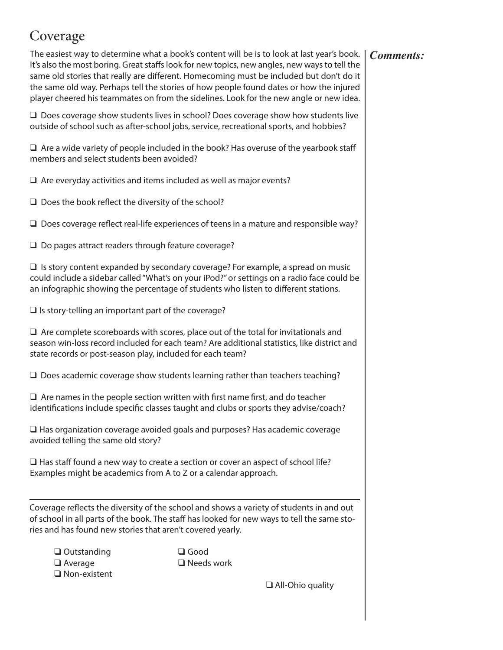# Coverage

#### *Comments:*

The easiest way to determine what a book's content will be is to look at last year's book. It's also the most boring. Great staffs look for new topics, new angles, new ways to tell the same old stories that really are different. Homecoming must be included but don't do it the same old way. Perhaps tell the stories of how people found dates or how the injured player cheered his teammates on from the sidelines. Look for the new angle or new idea.

 $\Box$  Does coverage show students lives in school? Does coverage show how students live outside of school such as after-school jobs, service, recreational sports, and hobbies?

 $\Box$  Are a wide variety of people included in the book? Has overuse of the yearbook staff members and select students been avoided?

 $\Box$  Are everyday activities and items included as well as major events?

 $\Box$  Does the book reflect the diversity of the school?

 $\Box$  Does coverage reflect real-life experiences of teens in a mature and responsible way?

 $\Box$  Do pages attract readers through feature coverage?

 $\Box$  Is story content expanded by secondary coverage? For example, a spread on music could include a sidebar called "What's on your iPod?" or settings on a radio face could be an infographic showing the percentage of students who listen to different stations.

 $\Box$  Is story-telling an important part of the coverage?

 $\Box$  Are complete scoreboards with scores, place out of the total for invitationals and season win-loss record included for each team? Are additional statistics, like district and state records or post-season play, included for each team?

 $\Box$  Does academic coverage show students learning rather than teachers teaching?

 $\Box$  Are names in the people section written with first name first, and do teacher identifications include specific classes taught and clubs or sports they advise/coach?

 $\Box$  Has organization coverage avoided goals and purposes? Has academic coverage avoided telling the same old story?

 $\Box$  Has staff found a new way to create a section or cover an aspect of school life? Examples might be academics from A to Z or a calendar approach.

Coverage reflects the diversity of the school and shows a variety of students in and out of school in all parts of the book. The staff has looked for new ways to tell the same stories and has found new stories that aren't covered yearly.

 $\Box$  Outstanding  $\Box$  Good  $\Box$  Average  $\Box$  Needs work  $\Box$  Non-existent

 $\Box$  All-Ohio quality